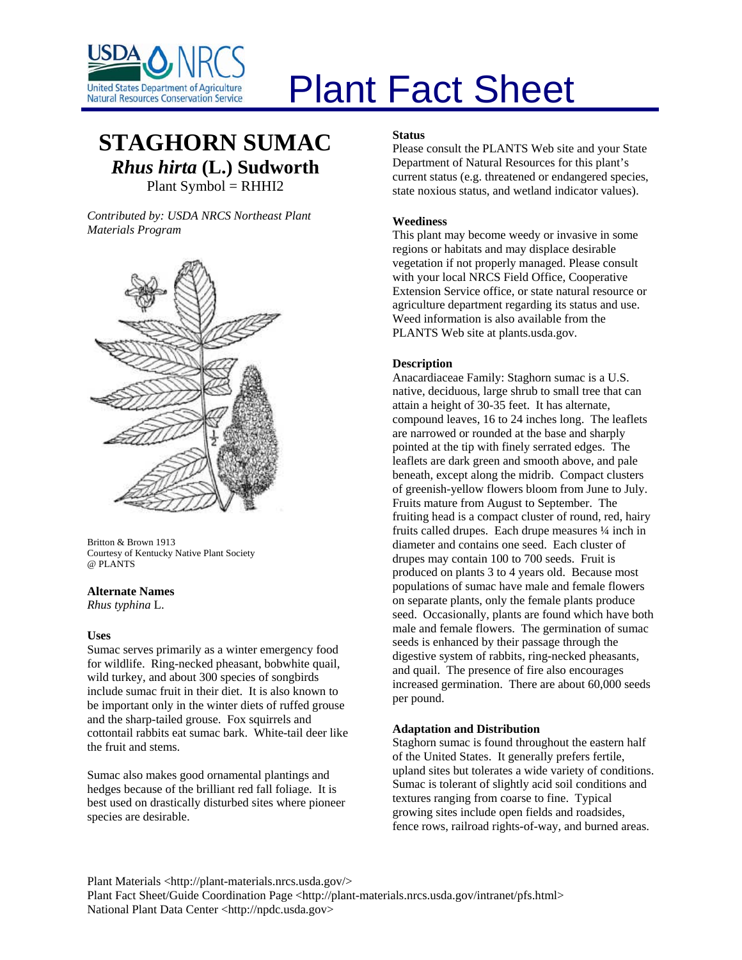

# Plant Fact Sheet

# **STAGHORN SUMAC** *Rhus hirta* **(L.) Sudworth** Plant Symbol = RHHI2

*Contributed by: USDA NRCS Northeast Plant [Materials Program](http://plants.usda.gov/java/largeImage?imageID=rhhi2_001_avd.tif)* 



Britton & Brown 1913 Courtesy of Kentucky Native Plant Society @ PLANTS

#### **Alternate Names**

*Rhus typhina* L.

# **Uses**

Sumac serves primarily as a winter emergency food for wildlife. Ring-necked pheasant, bobwhite quail, wild turkey, and about 300 species of songbirds include sumac fruit in their diet. It is also known to be important only in the winter diets of ruffed grouse and the sharp-tailed grouse. Fox squirrels and cottontail rabbits eat sumac bark. White-tail deer like the fruit and stems.

Sumac also makes good ornamental plantings and hedges because of the brilliant red fall foliage. It is best used on drastically disturbed sites where pioneer species are desirable.

#### **Status**

Please consult the PLANTS Web site and your State Department of Natural Resources for this plant's current status (e.g. threatened or endangered species, state noxious status, and wetland indicator values).

# **Weediness**

This plant may become weedy or invasive in some regions or habitats and may displace desirable vegetation if not properly managed. Please consult with your local NRCS Field Office, Cooperative Extension Service office, or state natural resource or agriculture department regarding its status and use. Weed information is also available from the PLANTS Web site at plants.usda.gov.

# **Description**

Anacardiaceae Family: Staghorn sumac is a U.S. native, deciduous, large shrub to small tree that can attain a height of 30-35 feet. It has alternate, compound leaves, 16 to 24 inches long. The leaflets are narrowed or rounded at the base and sharply pointed at the tip with finely serrated edges. The leaflets are dark green and smooth above, and pale beneath, except along the midrib. Compact clusters of greenish-yellow flowers bloom from June to July. Fruits mature from August to September. The fruiting head is a compact cluster of round, red, hairy fruits called drupes. Each drupe measures ¼ inch in diameter and contains one seed. Each cluster of drupes may contain 100 to 700 seeds. Fruit is produced on plants 3 to 4 years old. Because most populations of sumac have male and female flowers on separate plants, only the female plants produce seed. Occasionally, plants are found which have both male and female flowers. The germination of sumac seeds is enhanced by their passage through the digestive system of rabbits, ring-necked pheasants, and quail. The presence of fire also encourages increased germination. There are about 60,000 seeds per pound.

# **Adaptation and Distribution**

Staghorn sumac is found throughout the eastern half of the United States. It generally prefers fertile, upland sites but tolerates a wide variety of conditions. Sumac is tolerant of slightly acid soil conditions and textures ranging from coarse to fine. Typical growing sites include open fields and roadsides, fence rows, railroad rights-of-way, and burned areas.

Plant Materials <http://plant-materials.nrcs.usda.gov/> Plant Fact Sheet/Guide Coordination Page <http://plant-materials.nrcs.usda.gov/intranet/pfs.html> National Plant Data Center <http://npdc.usda.gov>